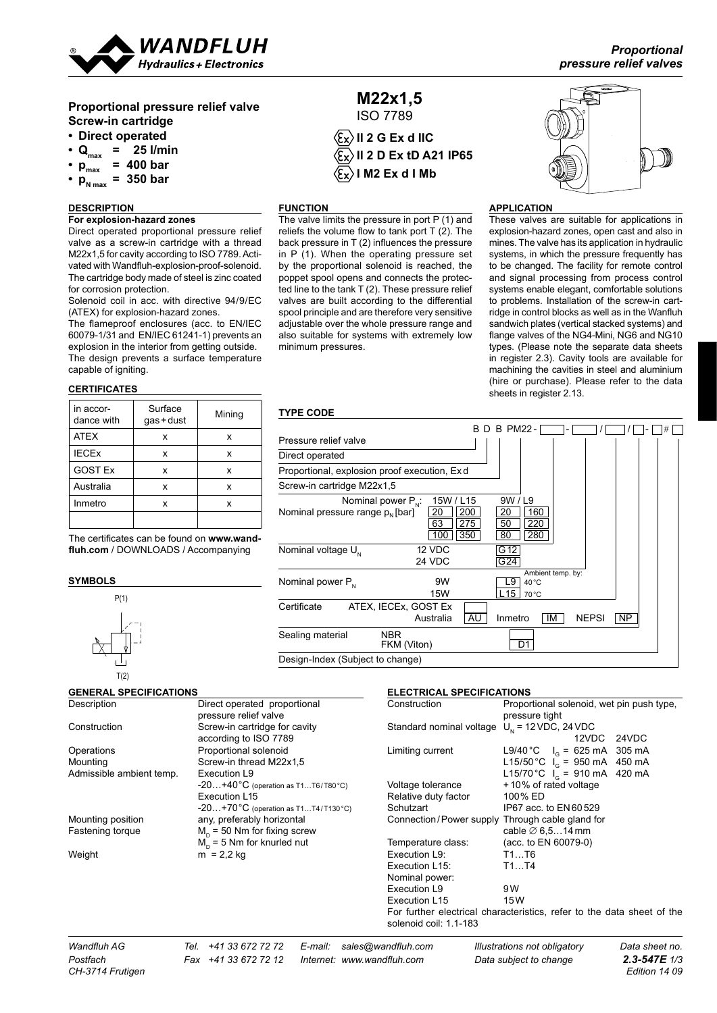

# **Proportional pressure relief valve Screw-in cartridge**

- **• Direct operated**
- $\cdot$  Q<sub>max</sub> = 25 I/min
- $p_{max}^{max}$  = 400 **bar**
- $p_{N_{\text{max}}} = 350$  bar
- 

## **DESCRIPTION**

## **For explosion-hazard zones**

Direct operated proportional pressure relief valve as a screw-in cartridge with a thread M22x1,5 for cavity according to ISO 7789. Activated with Wandfluh-explosion-proof-solenoid. The cartridge body made of steel is zinc coated for corrosion protection.

Solenoid coil in acc. with directive 94/9/EC (ATEX) for explosion-hazard zones.

The flameproof enclosures (acc. to EN/IEC 60079-1/31 and EN/IEC 61241-1) prevents an explosion in the interior from getting outside. The design prevents a surface temperature capable of igniting. **20 30**

# **CERTIFICATES**

| in accor-<br>dance with | Surface<br>gas+dust | Mining |
|-------------------------|---------------------|--------|
| <b>ATEX</b>             | x                   | x      |
| <b>IECEX</b>            | x                   | x      |
| <b>GOST Ex</b>          | x                   | x      |
| Australia               | x                   | x      |
| Inmetro                 | x                   | x      |
|                         |                     |        |

The certificates can be found on www.wand**fluh.com** / DOWNLOADS / Accompanying

#### **symbols**



#### **GENERAL SPECIFICATIONS**

ISO 7789  $\langle \mathbf{\widehat{E}_X} \rangle$  II 2 G Ex d IIC **II 2 D Ex tD A21 IP65 I M2 Ex d I Mb**

**M22x1,5**

The valve limits the pressure in port P (1) and reliefs the volume flow to tank port  $T(2)$ . The back pressure in T (2) influences the pressure in P (1). When the operating pressure set by the proportional solenoid is reached, the poppet spool opens and connects the protected line to the tank T (2). These pressure relief valves are built according to the differential spool principle and are therefore very sensitive adjustable over the whole pressure range and also suitable for systems with extremely low



#### **application**

These valves are suitable for applications in explosion-hazard zones, open cast and also in mines. The valve has its application in hydraulic systems, in which the pressure frequently has to be changed. The facility for remote control and signal processing from process control systems enable elegant, comfortable solutions to problems. Installation of the screw-in cartridge in control blocks as well as in the Wanfluh sandwich plates (vertical stacked systems) and flange valves of the NG4-Mini, NG6 and NG10 types. (Please note the separate data sheets in register 2.3). Cavity tools are available for machining the cavities in steel and aluminium (hire or purchase). Please refer to the data sheets in register 2.13.

## **Type Code**

minimum pressures.

**function**

| <b>. . ⊢∟ ◡◡</b> ∟                                                                     |                                                   |                                                            |              |    |
|----------------------------------------------------------------------------------------|---------------------------------------------------|------------------------------------------------------------|--------------|----|
|                                                                                        | R.<br>D                                           | <b>B PM22-</b>                                             |              | #  |
| Pressure relief valve                                                                  |                                                   |                                                            |              |    |
| Direct operated                                                                        |                                                   |                                                            |              |    |
| Proportional, explosion proof execution, Exd.                                          |                                                   |                                                            |              |    |
| Screw-in cartridge M22x1,5                                                             |                                                   |                                                            |              |    |
| Nominal power $P_{\scriptscriptstyle\rm NL}$ :<br>Nominal pressure range $p_{N}$ [bar] | 15W / L15<br>200<br>20<br>63<br>275<br>350<br>100 | 9W / L9<br>160<br>20<br>220<br>50<br>80<br>280             |              |    |
| Nominal voltage U.                                                                     | 12 VDC<br>24 VDC                                  | G 12<br>G24                                                |              |    |
| Nominal power P <sub>N</sub>                                                           | 9W<br><b>15W</b>                                  | Ambient temp. by:<br>L9<br>$40^{\circ}$ C<br>L 15<br>70 °C |              |    |
| Certificate                                                                            | ATEX, IECEX, GOST Ex<br>AU<br>Australia           | ΙM<br>Inmetro                                              | <b>NEPSI</b> | NP |
| Sealing material                                                                       | NBR.<br>FKM (Viton)                               | D1                                                         |              |    |
| Design-Index (Subject to change)                                                       |                                                   |                                                            |              |    |

## **electrical specifications**

| Description              | Direct operated proportional                             | Construction                                      | Proportional solenoid, wet pin push type,                              |
|--------------------------|----------------------------------------------------------|---------------------------------------------------|------------------------------------------------------------------------|
|                          | pressure relief valve                                    |                                                   | pressure tight                                                         |
| Construction             | Screw-in cartridge for cavity                            | Standard nominal voltage $U_{N}$ = 12 VDC, 24 VDC |                                                                        |
|                          | according to ISO 7789                                    |                                                   | 12VDC<br>24VDC                                                         |
| Operations               | Proportional solenoid                                    | Limiting current                                  | L9/40 °C $I_c = 625 \text{ mA}$ 305 mA                                 |
| Mounting                 | Screw-in thread M22x1,5                                  |                                                   | L15/50 °C $I_c$ = 950 mA 450 mA                                        |
| Admissible ambient temp. | Execution L9                                             |                                                   | L15/70 °C $I_0 = 910$ mA 420 mA                                        |
|                          | $-20+40^{\circ}$ C (operation as T1T6/T80 $^{\circ}$ C)  | Voltage tolerance                                 | +10% of rated voltage                                                  |
|                          | Execution L15                                            | Relative duty factor                              | 100% ED                                                                |
|                          | $-20+70^{\circ}$ C (operation as T1T4/T130 $^{\circ}$ C) | Schutzart                                         | IP67 acc. to EN60529                                                   |
| Mounting position        | any, preferably horizontal                               | Connection/Power supply Through cable gland for   |                                                                        |
| Fastening torque         | $Mo$ = 50 Nm for fixing screw                            |                                                   | cable $\varnothing$ 6,514 mm                                           |
|                          | $Mn$ = 5 Nm for knurled nut                              | Temperature class:                                | (acc. to EN 60079-0)                                                   |
| Weight                   | $m = 2,2$ kg                                             | Execution L9:                                     | T1T6                                                                   |
|                          |                                                          | Execution L15:                                    | T1T4                                                                   |
|                          |                                                          | Nominal power:                                    |                                                                        |
|                          |                                                          | Execution L9                                      | 9W                                                                     |
|                          |                                                          | Execution L15                                     | 15W                                                                    |
|                          |                                                          | solenoid coil: 1.1-183                            | For further electrical characteristics, refer to the data sheet of the |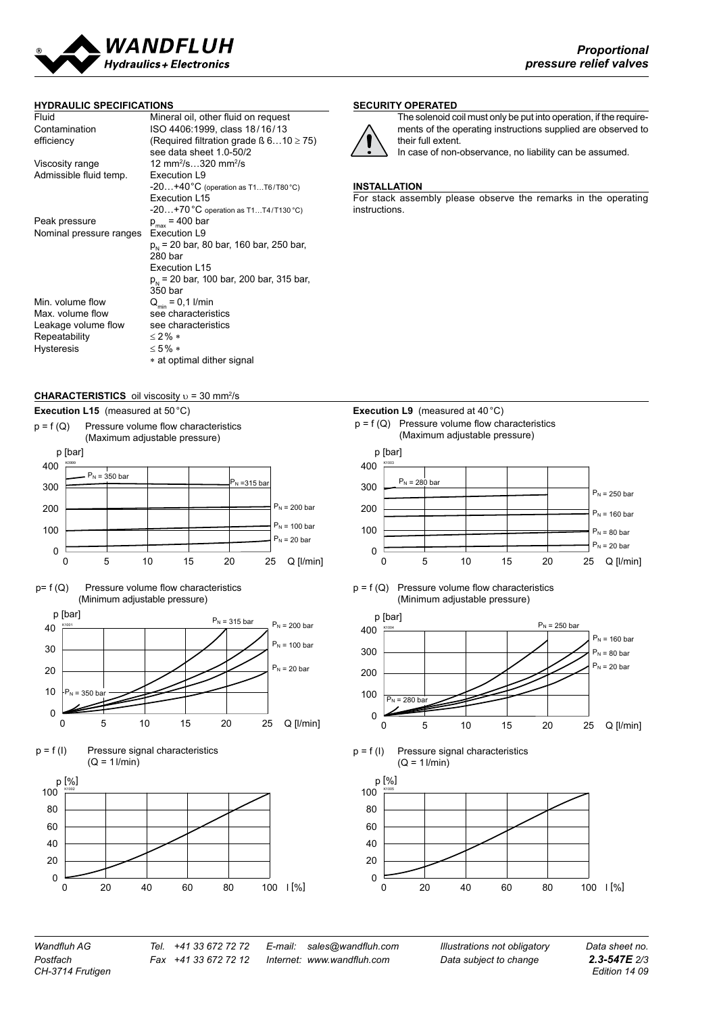

#### **hydraulic specifications**

| Fluid                   | Mineral oil, other fluid on request                    |
|-------------------------|--------------------------------------------------------|
| Contamination           | ISO 4406:1999, class 18/16/13                          |
| efficiency              | (Required filtration grade $\beta$ 610 $\geq$ 75)      |
|                         | see data sheet 1.0-50/2                                |
| Viscosity range         | 12 mm <sup>2</sup> /s320 mm <sup>2</sup> /s            |
| Admissible fluid temp.  | Execution L9                                           |
|                         | $-20+40^{\circ}C$ (operation as T1T6/T80 $^{\circ}$ C) |
|                         | Execution L15                                          |
|                         | $-20+70$ °C operation as T1T4/T130 °C)                 |
| Peak pressure           | $p_{max}$ = 400 bar                                    |
| Nominal pressure ranges | Execution L9                                           |
|                         | $p_{h}$ = 20 bar, 80 bar, 160 bar, 250 bar,            |
|                         | 280 bar                                                |
|                         | Execution L15                                          |
|                         | $p_{h}$ = 20 bar, 100 bar, 200 bar, 315 bar,           |
|                         | 350 bar                                                |
| Min. volume flow        | $Q_{\min} = 0.1$ I/min                                 |
| Max. volume flow        | see characteristics                                    |
| Leakage volume flow     | see characteristics                                    |
| Repeatability           | $<$ 2% $*$                                             |
| <b>Hysteresis</b>       | $<5\%*$                                                |
|                         | * at optimal dither signal                             |
|                         |                                                        |

## **security operated**



The solenoid coil must only be put into operation, if the requirements of the operating instructions supplied are observed to their full extent. In case of non-observance, no liability can be assumed.

#### **Installation**

For stack assembly please observe the remarks in the operating instructions.

#### **CHARACTERISTICS** oil viscosity  $υ = 30$  mm<sup>2</sup>/s

















 $p = f(Q)$  Pressure volume flow characteristics (Minimum adjustable pressure)







*CH-3714 Frutigen Edition 14 09*

*Wandfluh AG Tel. +41 33 672 72 72 E-mail: sales@wandfluh.com Illustrations not obligatory Data sheet no. Postfach Fax +41 33 672 72 12 Internet: www.wandfluh.com Data subject to change 2.3-547E 2/3*